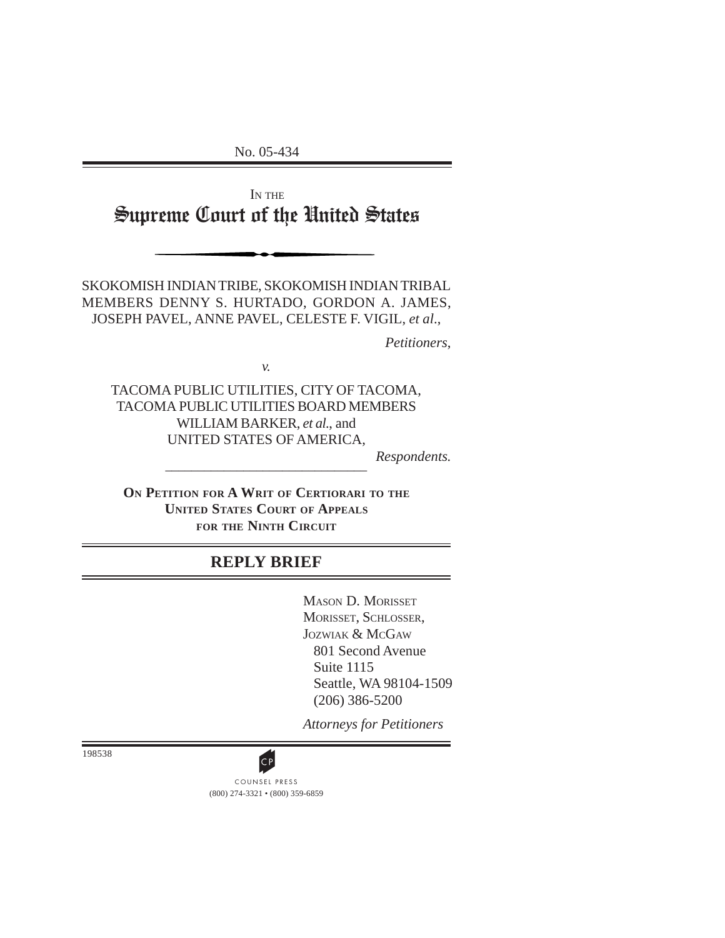No. 05-434

IN THE Supreme Court of the United States

SKOKOMISH INDIAN TRIBE, SKOKOMISH INDIAN TRIBAL MEMBERS DENNY S. HURTADO, GORDON A. JAMES, JOSEPH PAVEL, ANNE PAVEL, CELESTE F. VIGIL, *et al*.,

*Petitioners*,

*v.*

TACOMA PUBLIC UTILITIES, CITY OF TACOMA, TACOMA PUBLIC UTILITIES BOARD MEMBERS WILLIAM BARKER, *et al.*, and UNITED STATES OF AMERICA,

*Respondents.*

**ON PETITION FOR A WRIT OF CERTIORARI TO THE UNITED STATES COURT OF APPEALS FOR THE NINTH CIRCUIT**

\_\_\_\_\_\_\_\_\_\_\_\_\_\_\_\_\_\_\_\_\_\_\_\_\_\_\_\_\_\_\_

# **REPLY BRIEF**

MASON D. MORISSET MORISSET, SCHLOSSER, JOZWIAK & MCGAW 801 Second Avenue Suite 1115 Seattle, WA 98104-1509 (206) 386-5200

*Attorneys for Petitioners*

198538

(800) 274-3321 • (800) 359-6859 **CP**<br>COUNSEL PRESS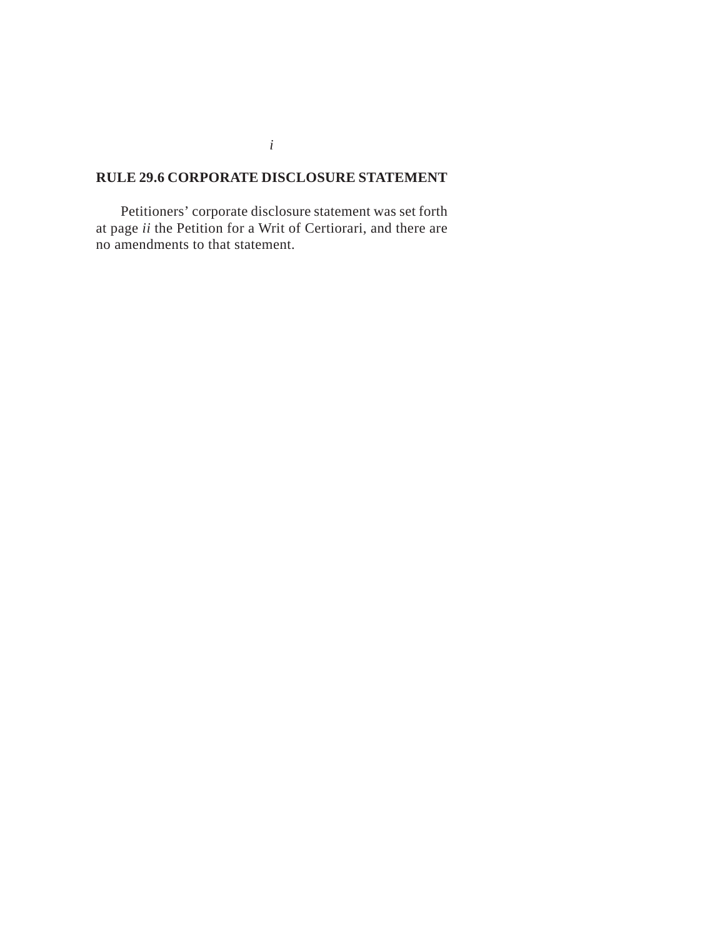# **RULE 29.6 CORPORATE DISCLOSURE STATEMENT**

Petitioners' corporate disclosure statement was set forth at page *ii* the Petition for a Writ of Certiorari, and there are no amendments to that statement.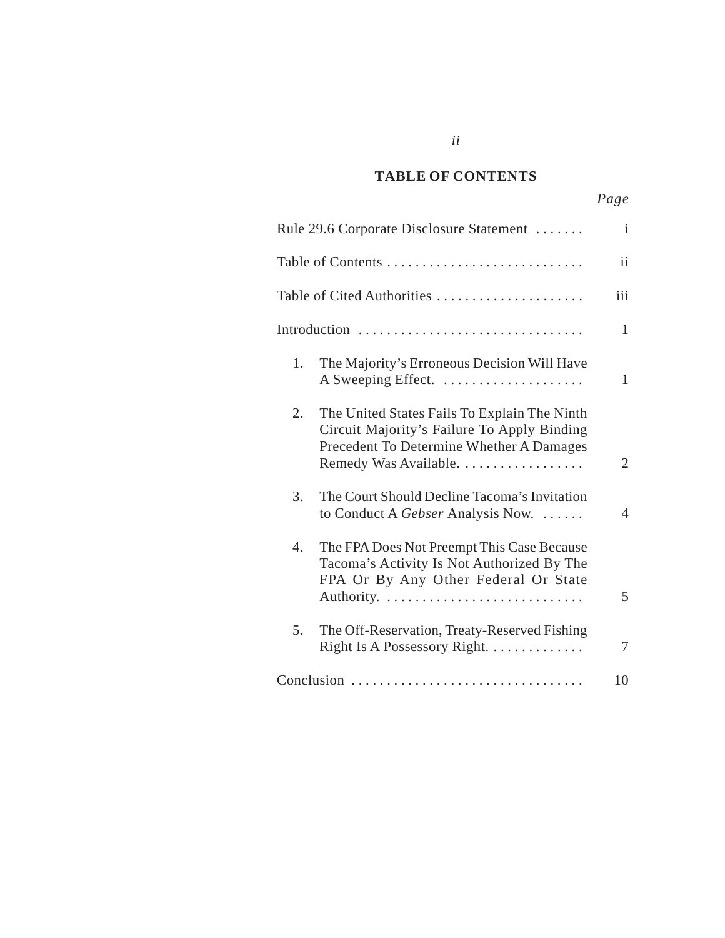#### *Cited Authorities* **TABLE OF CONTENTS**

*ii*

|    | Rule 29.6 Corporate Disclosure Statement                                                                                                                         | $\mathbf{i}$   |
|----|------------------------------------------------------------------------------------------------------------------------------------------------------------------|----------------|
|    |                                                                                                                                                                  | ii             |
|    | Table of Cited Authorities                                                                                                                                       | iii            |
|    | Introduction                                                                                                                                                     | $\mathbf{1}$   |
| 1. | The Majority's Erroneous Decision Will Have<br>A Sweeping Effect.                                                                                                | $\mathbf{1}$   |
| 2. | The United States Fails To Explain The Ninth<br>Circuit Majority's Failure To Apply Binding<br>Precedent To Determine Whether A Damages<br>Remedy Was Available. | $\overline{2}$ |
| 3. | The Court Should Decline Tacoma's Invitation<br>to Conduct A Gebser Analysis Now.                                                                                | $\overline{4}$ |
| 4. | The FPA Does Not Preempt This Case Because<br>Tacoma's Activity Is Not Authorized By The<br>FPA Or By Any Other Federal Or State                                 | 5              |
| 5. | The Off-Reservation, Treaty-Reserved Fishing<br>Right Is A Possessory Right.                                                                                     | 7              |
|    | Conclusion                                                                                                                                                       | 10             |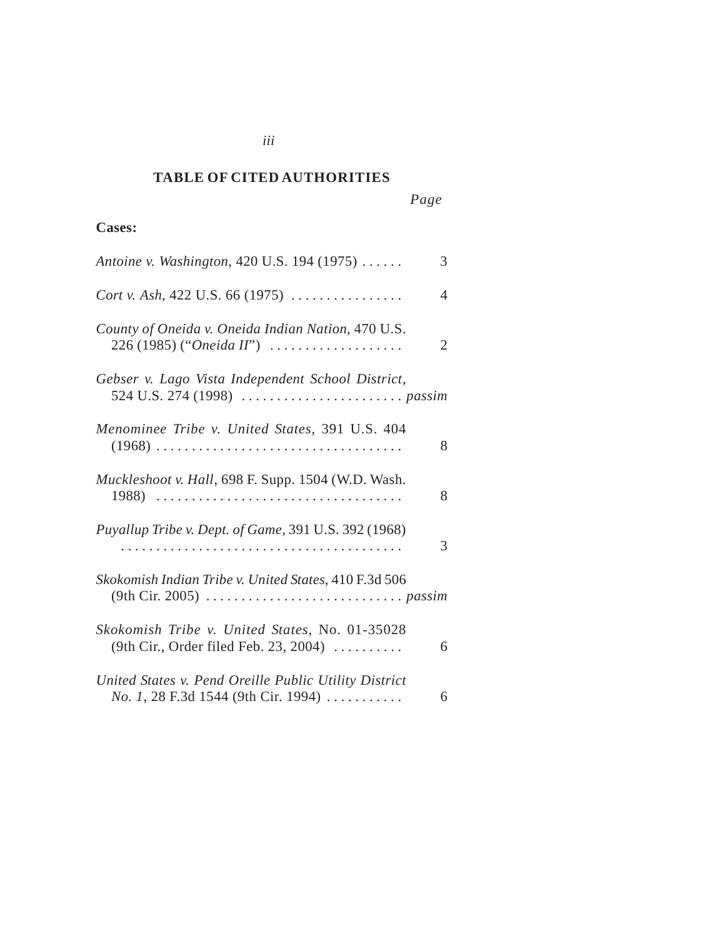#### *Cited Authorities* **TABLE OF CITED AUTHORITIES**

*iii*

# **Cases:**

| Antoine v. Washington, 420 U.S. 194 (1975)                                                                   | 3              |
|--------------------------------------------------------------------------------------------------------------|----------------|
| <i>Cort v. Ash</i> , 422 U.S. 66 (1975) $\ldots$                                                             | 4              |
| County of Oneida v. Oneida Indian Nation, 470 U.S.<br>$226 (1985)$ ("Oneida II")                             | $\overline{2}$ |
| Gebser v. Lago Vista Independent School District,                                                            |                |
| Menominee Tribe v. United States, 391 U.S. 404                                                               | 8              |
| Muckleshoot v. Hall, 698 F. Supp. 1504 (W.D. Wash.<br>1988)                                                  | 8              |
| Puyallup Tribe v. Dept. of Game, 391 U.S. 392 (1968)                                                         | 3              |
| Skokomish Indian Tribe v. United States, 410 F.3d 506                                                        |                |
| Skokomish Tribe v. United States, No. 01-35028<br>(9th Cir., Order filed Feb. 23, 2004)                      | 6              |
| United States v. Pend Oreille Public Utility District<br><i>No.</i> 1, 28 F.3d 1544 (9th Cir. 1994) $\ldots$ | 6              |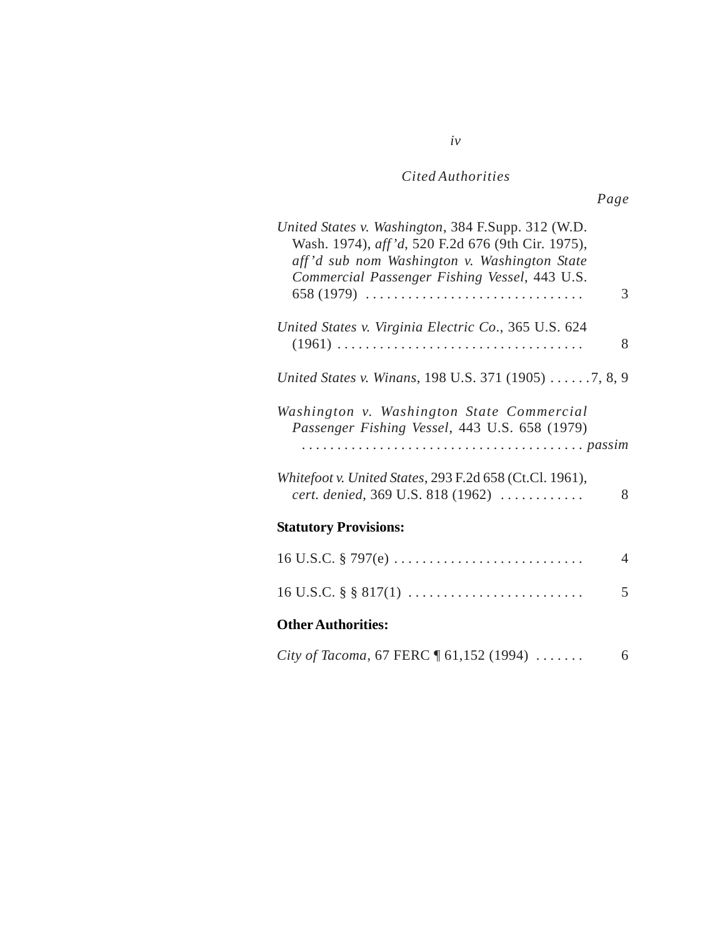# *Cited Authorities*

*iv*

| United States v. Washington, 384 F.Supp. 312 (W.D.<br>Wash. 1974), aff'd, 520 F.2d 676 (9th Cir. 1975),<br>aff'd sub nom Washington v. Washington State<br>Commercial Passenger Fishing Vessel, 443 U.S. |   |
|----------------------------------------------------------------------------------------------------------------------------------------------------------------------------------------------------------|---|
|                                                                                                                                                                                                          | 3 |
| United States v. Virginia Electric Co., 365 U.S. 624                                                                                                                                                     | 8 |
| United States v. Winans, 198 U.S. 371 (1905) 7, 8, 9                                                                                                                                                     |   |
| Washington v. Washington State Commercial<br>Passenger Fishing Vessel, 443 U.S. 658 (1979)                                                                                                               |   |
| Whitefoot v. United States, 293 F.2d 658 (Ct.Cl. 1961),<br>cert. denied, 369 U.S. 818 (1962)                                                                                                             | 8 |
| <b>Statutory Provisions:</b>                                                                                                                                                                             |   |
|                                                                                                                                                                                                          | 4 |
|                                                                                                                                                                                                          | 5 |
| <b>Other Authorities:</b>                                                                                                                                                                                |   |
| City of Tacoma, 67 FERC 161,152 (1994)                                                                                                                                                                   | 6 |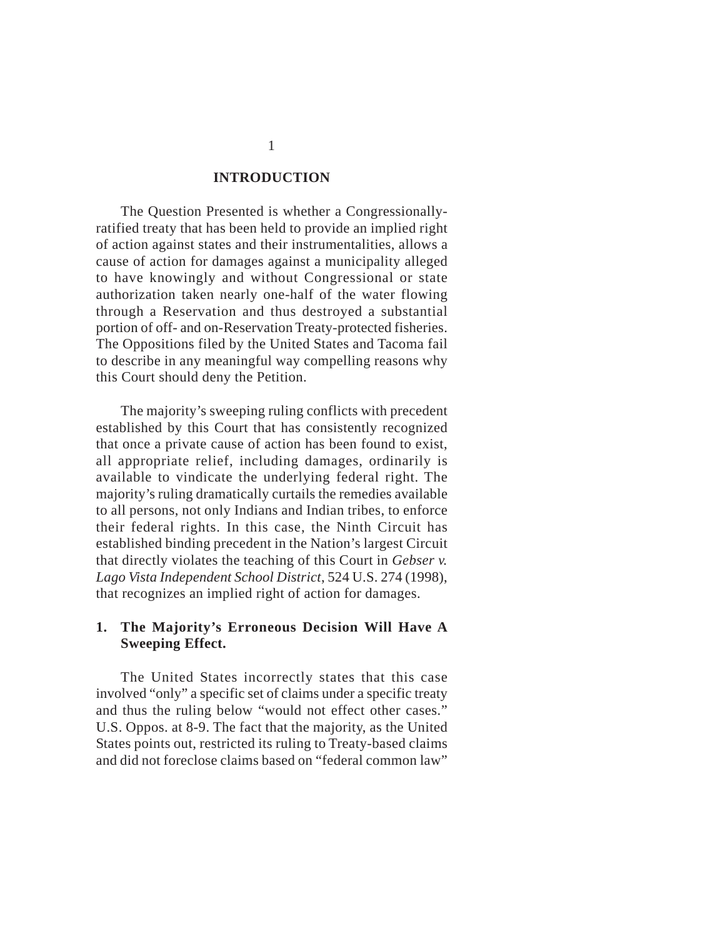#### **INTRODUCTION**

The Question Presented is whether a Congressionallyratified treaty that has been held to provide an implied right of action against states and their instrumentalities, allows a cause of action for damages against a municipality alleged to have knowingly and without Congressional or state authorization taken nearly one-half of the water flowing through a Reservation and thus destroyed a substantial portion of off- and on-Reservation Treaty-protected fisheries. The Oppositions filed by the United States and Tacoma fail to describe in any meaningful way compelling reasons why this Court should deny the Petition.

The majority's sweeping ruling conflicts with precedent established by this Court that has consistently recognized that once a private cause of action has been found to exist, all appropriate relief, including damages, ordinarily is available to vindicate the underlying federal right. The majority's ruling dramatically curtails the remedies available to all persons, not only Indians and Indian tribes, to enforce their federal rights. In this case, the Ninth Circuit has established binding precedent in the Nation's largest Circuit that directly violates the teaching of this Court in *Gebser v. Lago Vista Independent School District*, 524 U.S. 274 (1998), that recognizes an implied right of action for damages.

### **1. The Majority's Erroneous Decision Will Have A Sweeping Effect.**

The United States incorrectly states that this case involved "only" a specific set of claims under a specific treaty and thus the ruling below "would not effect other cases." U.S. Oppos. at 8-9. The fact that the majority, as the United States points out, restricted its ruling to Treaty-based claims and did not foreclose claims based on "federal common law"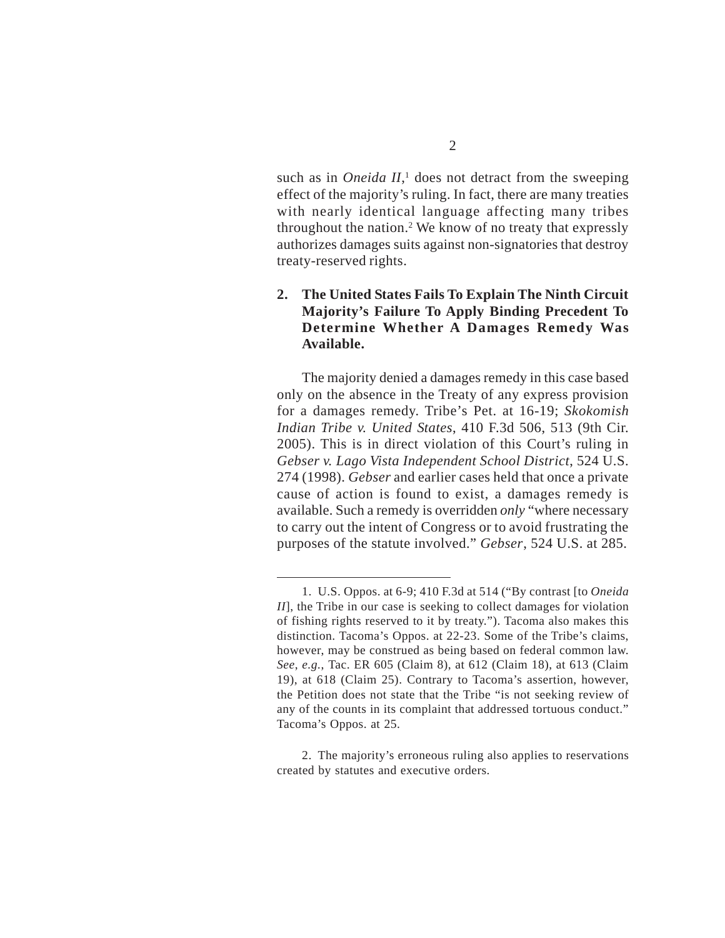such as in *Oneida II*,<sup>1</sup> does not detract from the sweeping effect of the majority's ruling. In fact, there are many treaties with nearly identical language affecting many tribes throughout the nation.2 We know of no treaty that expressly authorizes damages suits against non-signatories that destroy treaty-reserved rights.

## **2. The United States Fails To Explain The Ninth Circuit Majority's Failure To Apply Binding Precedent To Determine Whether A Damages Remedy Was Available.**

The majority denied a damages remedy in this case based only on the absence in the Treaty of any express provision for a damages remedy. Tribe's Pet. at 16-19; *Skokomish Indian Tribe v. United States*, 410 F.3d 506, 513 (9th Cir. 2005). This is in direct violation of this Court's ruling in *Gebser v. Lago Vista Independent School District*, 524 U.S. 274 (1998). *Gebser* and earlier cases held that once a private cause of action is found to exist, a damages remedy is available. Such a remedy is overridden *only* "where necessary to carry out the intent of Congress or to avoid frustrating the purposes of the statute involved." *Gebser*, 524 U.S. at 285.

<sup>1.</sup> U.S. Oppos. at 6-9; 410 F.3d at 514 ("By contrast [to *Oneida II*], the Tribe in our case is seeking to collect damages for violation of fishing rights reserved to it by treaty."). Tacoma also makes this distinction. Tacoma's Oppos. at 22-23. Some of the Tribe's claims, however, may be construed as being based on federal common law. *See*, *e.g.*, Tac. ER 605 (Claim 8), at 612 (Claim 18), at 613 (Claim 19), at 618 (Claim 25). Contrary to Tacoma's assertion, however, the Petition does not state that the Tribe "is not seeking review of any of the counts in its complaint that addressed tortuous conduct." Tacoma's Oppos. at 25.

<sup>2.</sup> The majority's erroneous ruling also applies to reservations created by statutes and executive orders.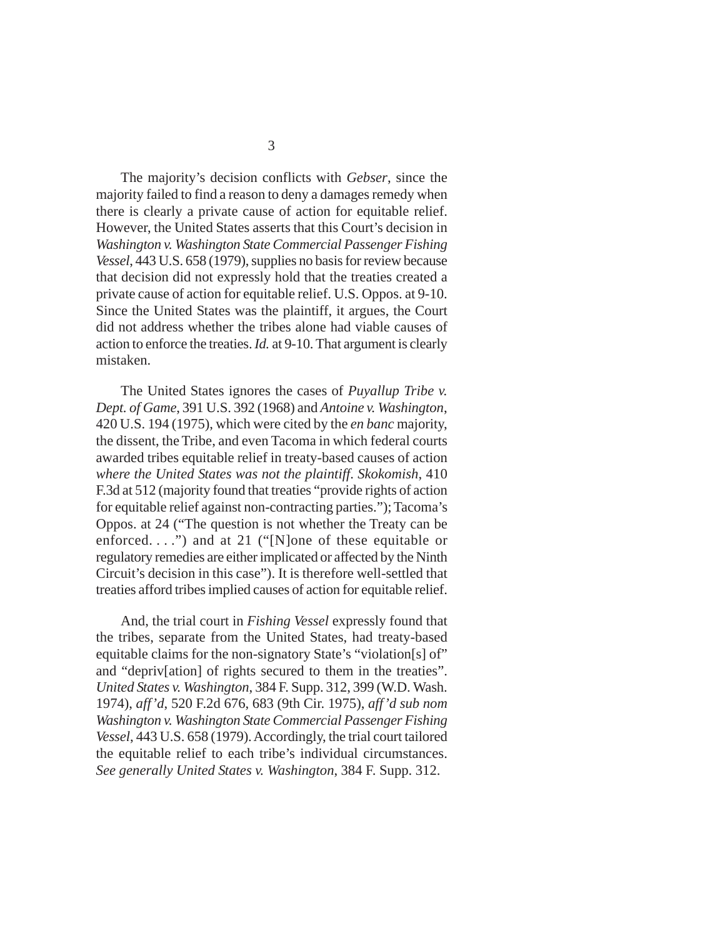The majority's decision conflicts with *Gebser*, since the majority failed to find a reason to deny a damages remedy when there is clearly a private cause of action for equitable relief. However, the United States asserts that this Court's decision in *Washington v. Washington State Commercial Passenger Fishing Vessel*, 443 U.S. 658 (1979), supplies no basis for review because that decision did not expressly hold that the treaties created a private cause of action for equitable relief. U.S. Oppos. at 9-10. Since the United States was the plaintiff, it argues, the Court did not address whether the tribes alone had viable causes of action to enforce the treaties. *Id.* at 9-10. That argument is clearly mistaken.

The United States ignores the cases of *Puyallup Tribe v. Dept. of Game*, 391 U.S. 392 (1968) and *Antoine v. Washington*, 420 U.S. 194 (1975), which were cited by the *en banc* majority, the dissent, the Tribe, and even Tacoma in which federal courts awarded tribes equitable relief in treaty-based causes of action *where the United States was not the plaintiff*. *Skokomish*, 410 F.3d at 512 (majority found that treaties "provide rights of action for equitable relief against non-contracting parties."); Tacoma's Oppos. at 24 ("The question is not whether the Treaty can be enforced. . . .") and at 21 ("[N]one of these equitable or regulatory remedies are either implicated or affected by the Ninth Circuit's decision in this case"). It is therefore well-settled that treaties afford tribes implied causes of action for equitable relief.

And, the trial court in *Fishing Vessel* expressly found that the tribes, separate from the United States, had treaty-based equitable claims for the non-signatory State's "violation[s] of" and "depriv[ation] of rights secured to them in the treaties". *United States v. Washington*, 384 F. Supp. 312, 399 (W.D. Wash. 1974), *aff'd*, 520 F.2d 676, 683 (9th Cir. 1975), *aff'd sub nom Washington v. Washington State Commercial Passenger Fishing Vessel*, 443 U.S. 658 (1979). Accordingly, the trial court tailored the equitable relief to each tribe's individual circumstances. *See generally United States v. Washington*, 384 F. Supp. 312.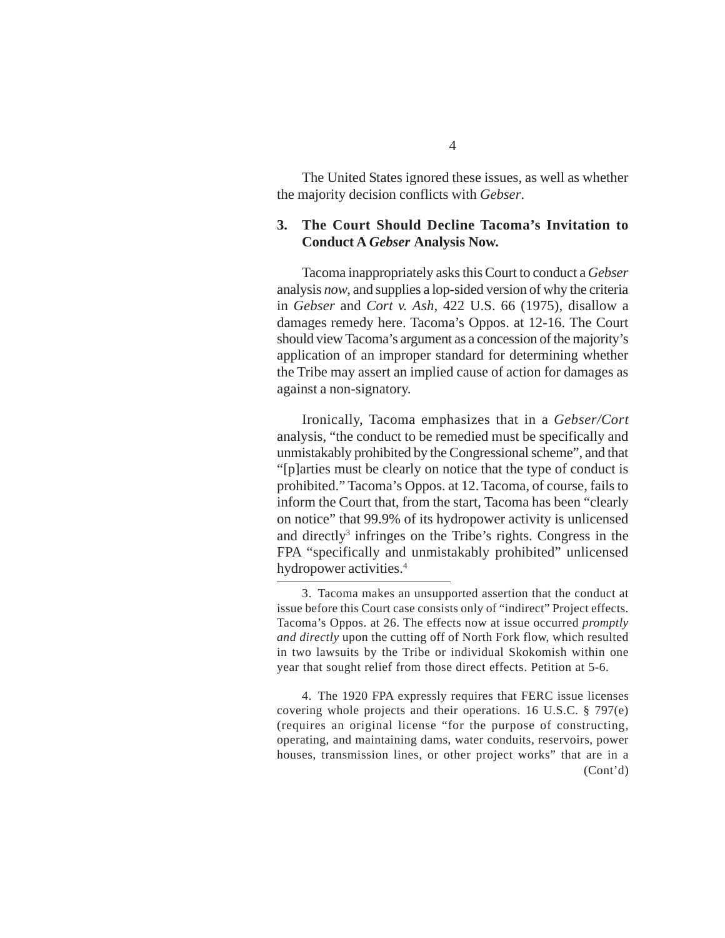The United States ignored these issues, as well as whether the majority decision conflicts with *Gebser*.

#### **3. The Court Should Decline Tacoma's Invitation to Conduct A** *Gebser* **Analysis Now.**

Tacoma inappropriately asks this Court to conduct a *Gebser* analysis *now*, and supplies a lop-sided version of why the criteria in *Gebser* and *Cort v. Ash*, 422 U.S. 66 (1975), disallow a damages remedy here. Tacoma's Oppos. at 12-16. The Court should view Tacoma's argument as a concession of the majority's application of an improper standard for determining whether the Tribe may assert an implied cause of action for damages as against a non-signatory.

Ironically, Tacoma emphasizes that in a *Gebser/Cort* analysis, "the conduct to be remedied must be specifically and unmistakably prohibited by the Congressional scheme", and that "[p]arties must be clearly on notice that the type of conduct is prohibited." Tacoma's Oppos. at 12. Tacoma, of course, fails to inform the Court that, from the start, Tacoma has been "clearly on notice" that 99.9% of its hydropower activity is unlicensed and directly<sup>3</sup> infringes on the Tribe's rights. Congress in the FPA "specifically and unmistakably prohibited" unlicensed hydropower activities.4

4. The 1920 FPA expressly requires that FERC issue licenses covering whole projects and their operations. 16 U.S.C. § 797(e) (requires an original license "for the purpose of constructing, operating, and maintaining dams, water conduits, reservoirs, power houses, transmission lines, or other project works" that are in a (Cont'd)

<sup>3.</sup> Tacoma makes an unsupported assertion that the conduct at issue before this Court case consists only of "indirect" Project effects. Tacoma's Oppos. at 26. The effects now at issue occurred *promptly and directly* upon the cutting off of North Fork flow, which resulted in two lawsuits by the Tribe or individual Skokomish within one year that sought relief from those direct effects. Petition at 5-6.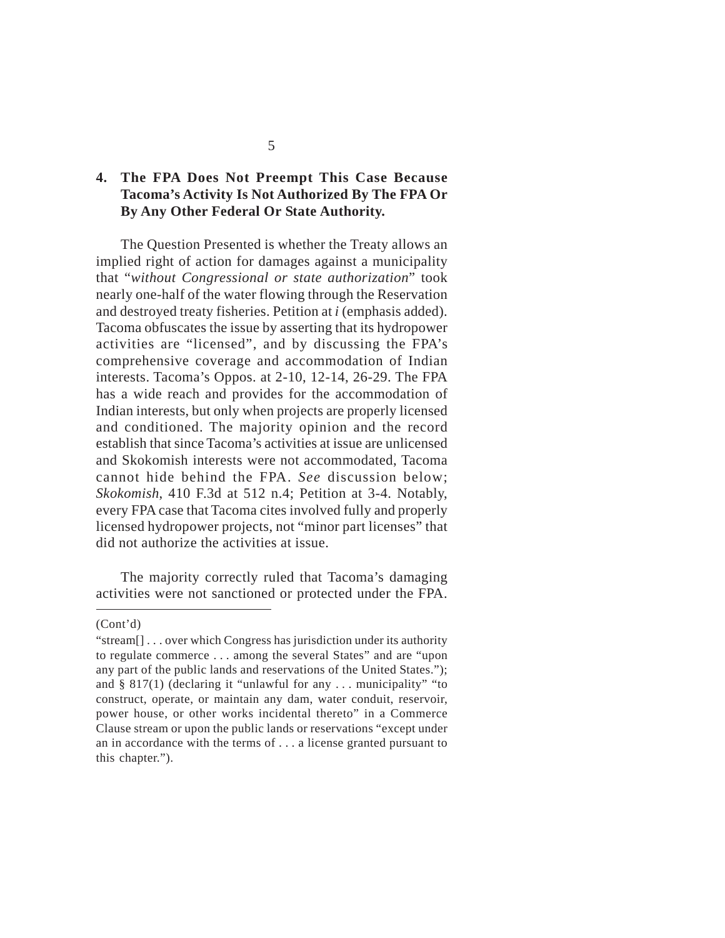# **4. The FPA Does Not Preempt This Case Because Tacoma's Activity Is Not Authorized By The FPA Or By Any Other Federal Or State Authority.**

The Question Presented is whether the Treaty allows an implied right of action for damages against a municipality that "*without Congressional or state authorization*" took nearly one-half of the water flowing through the Reservation and destroyed treaty fisheries. Petition at *i* (emphasis added). Tacoma obfuscates the issue by asserting that its hydropower activities are "licensed", and by discussing the FPA's comprehensive coverage and accommodation of Indian interests. Tacoma's Oppos. at 2-10, 12-14, 26-29. The FPA has a wide reach and provides for the accommodation of Indian interests, but only when projects are properly licensed and conditioned. The majority opinion and the record establish that since Tacoma's activities at issue are unlicensed and Skokomish interests were not accommodated, Tacoma cannot hide behind the FPA. *See* discussion below; *Skokomish*, 410 F.3d at 512 n.4; Petition at 3-4. Notably, every FPA case that Tacoma cites involved fully and properly licensed hydropower projects, not "minor part licenses" that did not authorize the activities at issue.

The majority correctly ruled that Tacoma's damaging activities were not sanctioned or protected under the FPA.

<sup>(</sup>Cont'd)

<sup>&</sup>quot;stream[] . . . over which Congress has jurisdiction under its authority to regulate commerce . . . among the several States" and are "upon any part of the public lands and reservations of the United States."); and  $\S 817(1)$  (declaring it "unlawful for any ... municipality" "to construct, operate, or maintain any dam, water conduit, reservoir, power house, or other works incidental thereto" in a Commerce Clause stream or upon the public lands or reservations "except under an in accordance with the terms of . . . a license granted pursuant to this chapter.").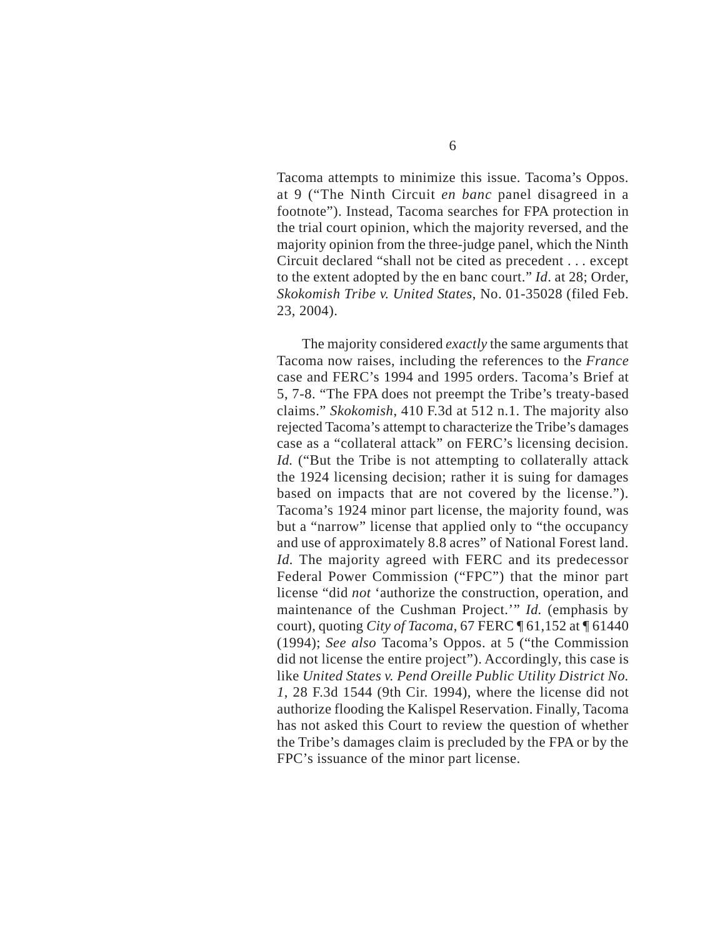Tacoma attempts to minimize this issue. Tacoma's Oppos. at 9 ("The Ninth Circuit *en banc* panel disagreed in a footnote"). Instead, Tacoma searches for FPA protection in the trial court opinion, which the majority reversed, and the majority opinion from the three-judge panel, which the Ninth Circuit declared "shall not be cited as precedent . . . except to the extent adopted by the en banc court." *Id*. at 28; Order, *Skokomish Tribe v. United States*, No. 01-35028 (filed Feb. 23, 2004).

The majority considered *exactly* the same arguments that Tacoma now raises, including the references to the *France* case and FERC's 1994 and 1995 orders. Tacoma's Brief at 5, 7-8. "The FPA does not preempt the Tribe's treaty-based claims." *Skokomish*, 410 F.3d at 512 n.1. The majority also rejected Tacoma's attempt to characterize the Tribe's damages case as a "collateral attack" on FERC's licensing decision. *Id.* ("But the Tribe is not attempting to collaterally attack the 1924 licensing decision; rather it is suing for damages based on impacts that are not covered by the license."). Tacoma's 1924 minor part license, the majority found, was but a "narrow" license that applied only to "the occupancy and use of approximately 8.8 acres" of National Forest land. *Id.* The majority agreed with FERC and its predecessor Federal Power Commission ("FPC") that the minor part license "did *not* 'authorize the construction, operation, and maintenance of the Cushman Project.'" *Id.* (emphasis by court), quoting *City of Tacoma*, 67 FERC ¶ 61,152 at ¶ 61440 (1994); *See also* Tacoma's Oppos. at 5 ("the Commission did not license the entire project"). Accordingly, this case is like *United States v. Pend Oreille Public Utility District No. 1*, 28 F.3d 1544 (9th Cir. 1994), where the license did not authorize flooding the Kalispel Reservation. Finally, Tacoma has not asked this Court to review the question of whether the Tribe's damages claim is precluded by the FPA or by the FPC's issuance of the minor part license.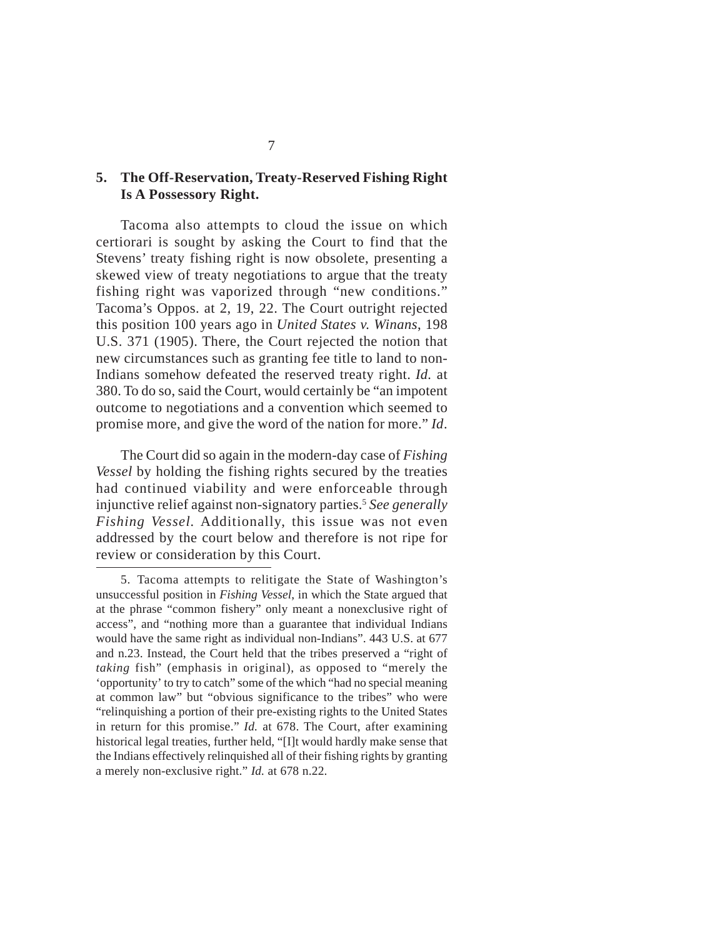### **5. The Off-Reservation, Treaty-Reserved Fishing Right Is A Possessory Right.**

Tacoma also attempts to cloud the issue on which certiorari is sought by asking the Court to find that the Stevens' treaty fishing right is now obsolete, presenting a skewed view of treaty negotiations to argue that the treaty fishing right was vaporized through "new conditions." Tacoma's Oppos. at 2, 19, 22. The Court outright rejected this position 100 years ago in *United States v. Winans*, 198 U.S. 371 (1905). There, the Court rejected the notion that new circumstances such as granting fee title to land to non-Indians somehow defeated the reserved treaty right. *Id.* at 380. To do so, said the Court, would certainly be "an impotent outcome to negotiations and a convention which seemed to promise more, and give the word of the nation for more." *Id*.

The Court did so again in the modern-day case of *Fishing Vessel* by holding the fishing rights secured by the treaties had continued viability and were enforceable through injunctive relief against non-signatory parties.5 *See generally Fishing Vessel.* Additionally, this issue was not even addressed by the court below and therefore is not ripe for review or consideration by this Court.

<sup>5.</sup> Tacoma attempts to relitigate the State of Washington's unsuccessful position in *Fishing Vessel*, in which the State argued that at the phrase "common fishery" only meant a nonexclusive right of access", and "nothing more than a guarantee that individual Indians would have the same right as individual non-Indians". 443 U.S. at 677 and n.23. Instead, the Court held that the tribes preserved a "right of *taking* fish" (emphasis in original), as opposed to "merely the 'opportunity' to try to catch" some of the which "had no special meaning at common law" but "obvious significance to the tribes" who were "relinquishing a portion of their pre-existing rights to the United States in return for this promise." *Id.* at 678. The Court, after examining historical legal treaties, further held, "[I]t would hardly make sense that the Indians effectively relinquished all of their fishing rights by granting a merely non-exclusive right." *Id.* at 678 n.22.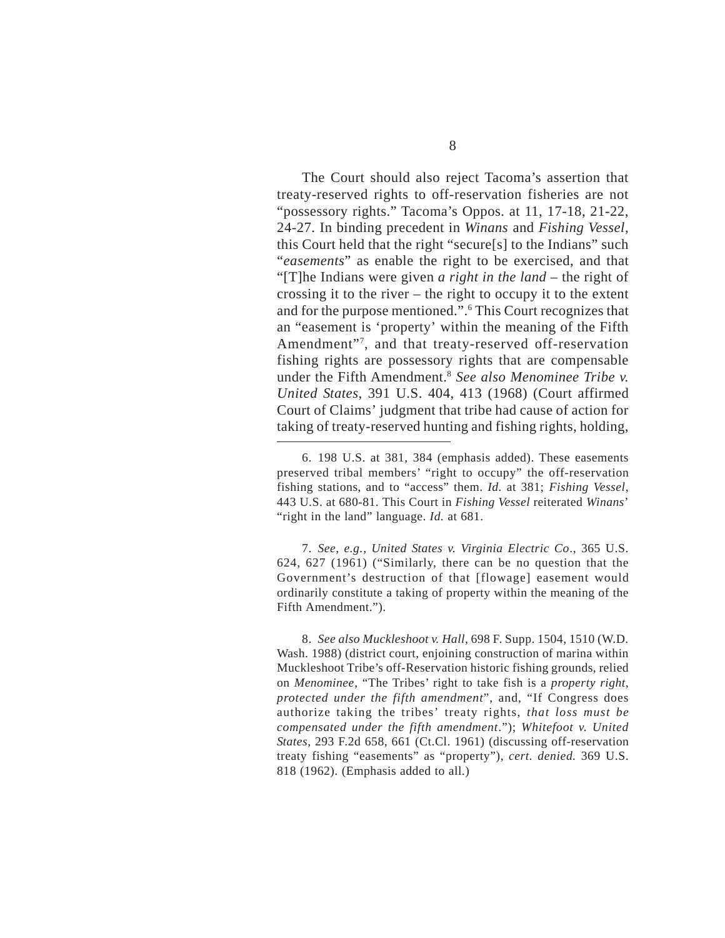The Court should also reject Tacoma's assertion that treaty-reserved rights to off-reservation fisheries are not "possessory rights." Tacoma's Oppos. at 11, 17-18, 21-22, 24-27. In binding precedent in *Winans* and *Fishing Vessel*, this Court held that the right "secure[s] to the Indians" such "*easements*" as enable the right to be exercised, and that "[T]he Indians were given *a right in the land* – the right of crossing it to the river – the right to occupy it to the extent and for the purpose mentioned.".<sup>6</sup> This Court recognizes that an "easement is 'property' within the meaning of the Fifth Amendment"7 , and that treaty-reserved off-reservation fishing rights are possessory rights that are compensable under the Fifth Amendment.8 *See also Menominee Tribe v. United States*, 391 U.S. 404, 413 (1968) (Court affirmed Court of Claims' judgment that tribe had cause of action for taking of treaty-reserved hunting and fishing rights, holding,

7. *See*, *e.g.*, *United States v. Virginia Electric Co*., 365 U.S. 624, 627 (1961) ("Similarly, there can be no question that the Government's destruction of that [flowage] easement would ordinarily constitute a taking of property within the meaning of the Fifth Amendment.").

8. *See also Muckleshoot v. Hall*, 698 F. Supp. 1504, 1510 (W.D. Wash. 1988) (district court, enjoining construction of marina within Muckleshoot Tribe's off-Reservation historic fishing grounds, relied on *Menominee*, "The Tribes' right to take fish is a *property right*, *protected under the fifth amendment*", and, "If Congress does authorize taking the tribes' treaty rights, *that loss must be compensated under the fifth amendment*."); *Whitefoot v. United States*, 293 F.2d 658, 661 (Ct.Cl. 1961) (discussing off-reservation treaty fishing "easements" as "property"), *cert. denied.* 369 U.S. 818 (1962). (Emphasis added to all.)

<sup>6. 198</sup> U.S. at 381, 384 (emphasis added). These easements preserved tribal members' "right to occupy" the off-reservation fishing stations, and to "access" them. *Id.* at 381; *Fishing Vessel*, 443 U.S. at 680-81. This Court in *Fishing Vessel* reiterated *Winans*' "right in the land" language. *Id.* at 681.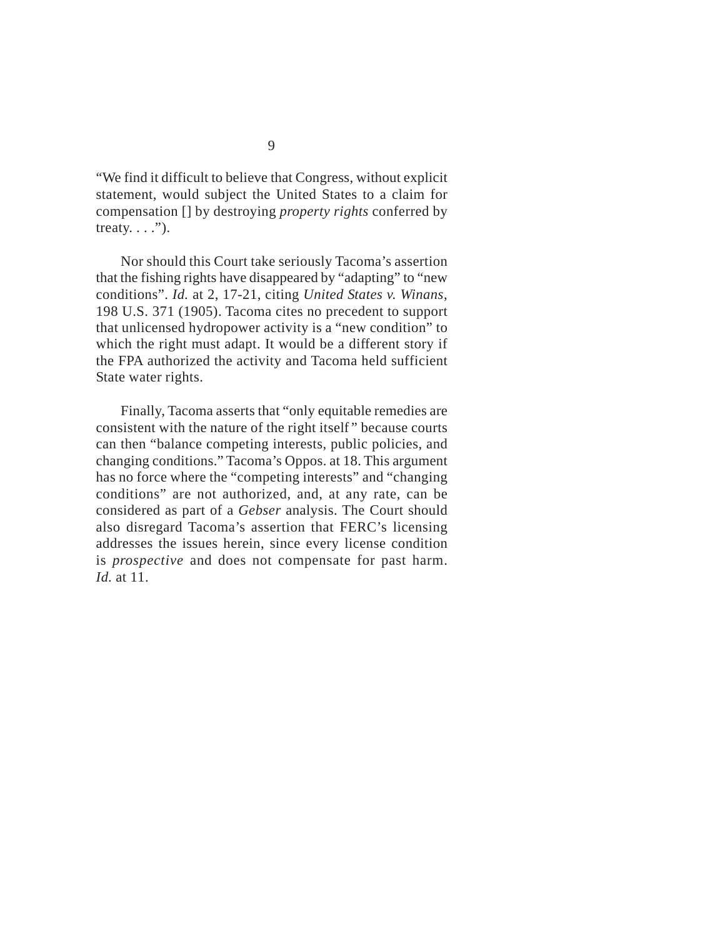"We find it difficult to believe that Congress, without explicit statement, would subject the United States to a claim for compensation [] by destroying *property rights* conferred by treaty.  $\ldots$ ").

Nor should this Court take seriously Tacoma's assertion that the fishing rights have disappeared by "adapting" to "new conditions". *Id.* at 2, 17-21, citing *United States v. Winans*, 198 U.S. 371 (1905). Tacoma cites no precedent to support that unlicensed hydropower activity is a "new condition" to which the right must adapt. It would be a different story if the FPA authorized the activity and Tacoma held sufficient State water rights.

Finally, Tacoma asserts that "only equitable remedies are consistent with the nature of the right itself " because courts can then "balance competing interests, public policies, and changing conditions." Tacoma's Oppos. at 18. This argument has no force where the "competing interests" and "changing conditions" are not authorized, and, at any rate, can be considered as part of a *Gebser* analysis. The Court should also disregard Tacoma's assertion that FERC's licensing addresses the issues herein, since every license condition is *prospective* and does not compensate for past harm. *Id*. at 11.